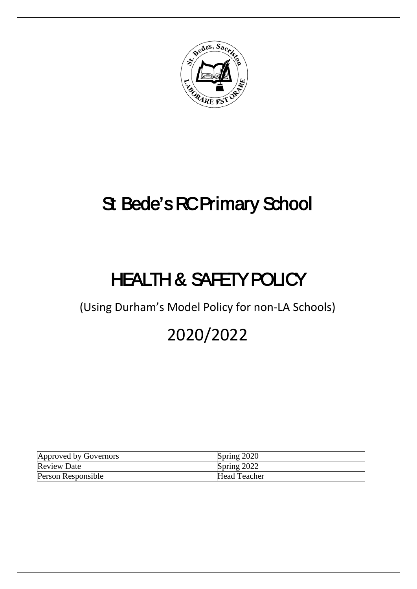

# St Bede's RC Primary School

# HEALTH & SAFETY POLICY

(Using Durham's Model Policy for non-LA Schools)

# 2020/2022

| Approved by Governors | Spring 2020         |
|-----------------------|---------------------|
| <b>Review Date</b>    | Spring 2022         |
| Person Responsible    | <b>Head Teacher</b> |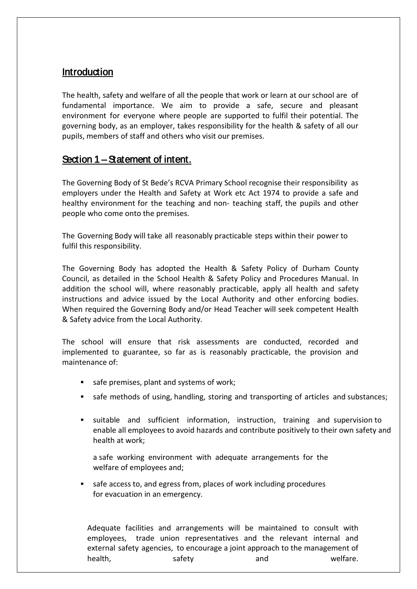# **Introduction**

The health, safety and welfare of all the people that work or learn at our school are of fundamental importance. We aim to provide a safe, secure and pleasant environment for everyone where people are supported to fulfil their potential. The governing body, as an employer, takes responsibility for the health & safety of all our pupils, members of staff and others who visit our premises.

# Section 1 – Statement of intent.

The Governing Body of St Bede's RCVA Primary School recognise their responsibility as employers under the Health and Safety at Work etc Act 1974 to provide a safe and healthy environment for the teaching and non- teaching staff, the pupils and other people who come onto the premises.

The Governing Body will take all reasonably practicable steps within their power to fulfil this responsibility.

The Governing Body has adopted the Health & Safety Policy of Durham County Council, as detailed in the School Health & Safety Policy and Procedures Manual. In addition the school will, where reasonably practicable, apply all health and safety instructions and advice issued by the Local Authority and other enforcing bodies. When required the Governing Body and/or Head Teacher will seek competent Health & Safety advice from the Local Authority.

The school will ensure that risk assessments are conducted, recorded and implemented to guarantee, so far as is reasonably practicable, the provision and maintenance of:

- safe premises, plant and systems of work;
- safe methods of using, handling, storing and transporting of articles and substances;
- suitable and sufficient information, instruction, training and supervision to enable all employees to avoid hazards and contribute positively to their own safety and health at work;

a safe working environment with adequate arrangements for the welfare of employees and;

safe access to, and egress from, places of work including procedures for evacuation in an emergency.

Adequate facilities and arrangements will be maintained to consult with employees, trade union representatives and the relevant internal and external safety agencies, to encourage a joint approach to the management of health, and safety and safety and welfare.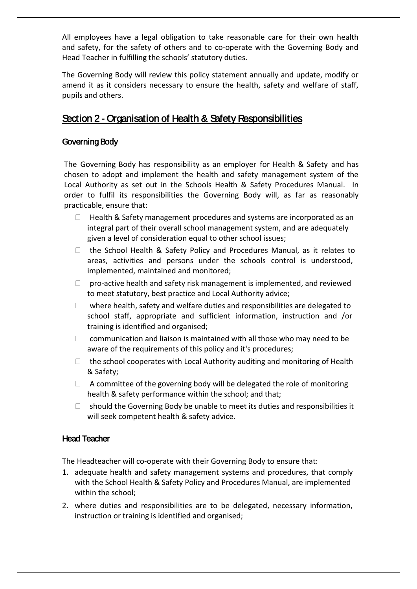All employees have a legal obligation to take reasonable care for their own health and safety, for the safety of others and to co-operate with the Governing Body and Head Teacher in fulfilling the schools' statutory duties.

The Governing Body will review this policy statement annually and update, modify or amend it as it considers necessary to ensure the health, safety and welfare of staff, pupils and others.

# Section 2 - Organisation of Health & Safety Responsibilities

# Governing Body

The Governing Body has responsibility as an employer for Health & Safety and has chosen to adopt and implement the health and safety management system of the Local Authority as set out in the Schools Health & Safety Procedures Manual. In order to fulfil its responsibilities the Governing Body will, as far as reasonably practicable, ensure that:

- $\Box$  Health & Safety management procedures and systems are incorporated as an integral part of their overall school management system, and are adequately given a level of consideration equal to other school issues;
- $\Box$  the School Health & Safety Policy and Procedures Manual, as it relates to areas, activities and persons under the schools control is understood, implemented, maintained and monitored;
- $\Box$  pro-active health and safety risk management is implemented, and reviewed to meet statutory, best practice and Local Authority advice;
- $\Box$  where health, safety and welfare duties and responsibilities are delegated to school staff, appropriate and sufficient information, instruction and /or training is identified and organised;
- $\Box$  communication and liaison is maintained with all those who may need to be aware of the requirements of this policy and it's procedures;
- $\Box$  the school cooperates with Local Authority auditing and monitoring of Health & Safety;
- $\Box$  A committee of the governing body will be delegated the role of monitoring health & safety performance within the school; and that;
- $\Box$  should the Governing Body be unable to meet its duties and responsibilities it will seek competent health & safety advice.

## Head Teacher

The Headteacher will co-operate with their Governing Body to ensure that:

- 1. adequate health and safety management systems and procedures, that comply with the School Health & Safety Policy and Procedures Manual, are implemented within the school;
- 2. where duties and responsibilities are to be delegated, necessary information, instruction or training is identified and organised;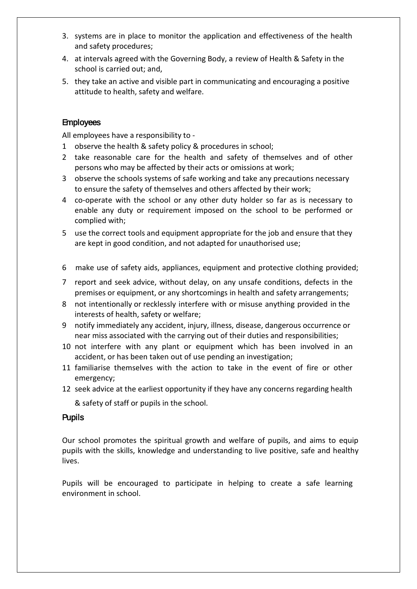- 3. systems are in place to monitor the application and effectiveness of the health and safety procedures;
- 4. at intervals agreed with the Governing Body, a review of Health & Safety in the school is carried out; and,
- 5. they take an active and visible part in communicating and encouraging a positive attitude to health, safety and welfare.

### **Employees**

All employees have a responsibility to -

- 1 observe the health & safety policy & procedures in school;
- 2 take reasonable care for the health and safety of themselves and of other persons who may be affected by their acts or omissions at work;
- 3 observe the schools systems of safe working and take any precautions necessary to ensure the safety of themselves and others affected by their work;
- 4 co-operate with the school or any other duty holder so far as is necessary to enable any duty or requirement imposed on the school to be performed or complied with;
- 5 use the correct tools and equipment appropriate for the job and ensure that they are kept in good condition, and not adapted for unauthorised use;
- 6 make use of safety aids, appliances, equipment and protective clothing provided;
- 7 report and seek advice, without delay, on any unsafe conditions, defects in the premises or equipment, or any shortcomings in health and safety arrangements;
- 8 not intentionally or recklessly interfere with or misuse anything provided in the interests of health, safety or welfare;
- 9 notify immediately any accident, injury, illness, disease, dangerous occurrence or near miss associated with the carrying out of their duties and responsibilities;
- 10 not interfere with any plant or equipment which has been involved in an accident, or has been taken out of use pending an investigation;
- 11 familiarise themselves with the action to take in the event of fire or other emergency;
- 12 seek advice at the earliest opportunity if they have any concerns regarding health
	- & safety of staff or pupils in the school.

#### **Pupils**

Our school promotes the spiritual growth and welfare of pupils, and aims to equip pupils with the skills, knowledge and understanding to live positive, safe and healthy lives.

Pupils will be encouraged to participate in helping to create a safe learning environment in school.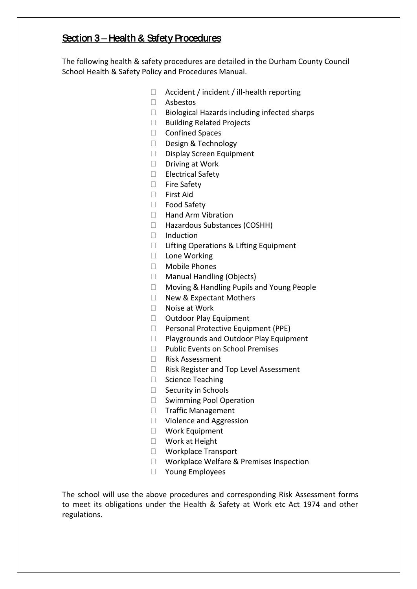# Section 3 – Health & Safety Procedures

The following health & safety procedures are detailed in the Durham County Council School Health & Safety Policy and Procedures Manual.

- $\Box$  Accident / incident / ill-health reporting
- Asbestos
- $\Box$  Biological Hazards including infected sharps
- □ Building Related Projects
- □ Confined Spaces
- Design & Technology
- D Display Screen Equipment
- $\Box$  Driving at Work
- □ Electrical Safety
- □ Fire Safety
- □ First Aid
- □ Food Safety
- □ Hand Arm Vibration
- □ Hazardous Substances (COSHH)
- $\Box$  Induction
- □ Lifting Operations & Lifting Equipment
- □ Lone Working
- Mobile Phones
- □ Manual Handling (Objects)
- □ Moving & Handling Pupils and Young People
- □ New & Expectant Mothers
- $\Box$  Noise at Work
- □ Outdoor Play Equipment
- □ Personal Protective Equipment (PPE)
- □ Playgrounds and Outdoor Play Equipment
- D Public Events on School Premises
- □ Risk Assessment
- □ Risk Register and Top Level Assessment
- □ Science Teaching
- $\Box$  Security in Schools
- $\square$  Swimming Pool Operation
- □ Traffic Management
- □ Violence and Aggression
- Work Equipment
- □ Work at Height
- □ Workplace Transport
- □ Workplace Welfare & Premises Inspection
- □ Young Employees

The school will use the above procedures and corresponding Risk Assessment forms to meet its obligations under the Health & Safety at Work etc Act 1974 and other regulations.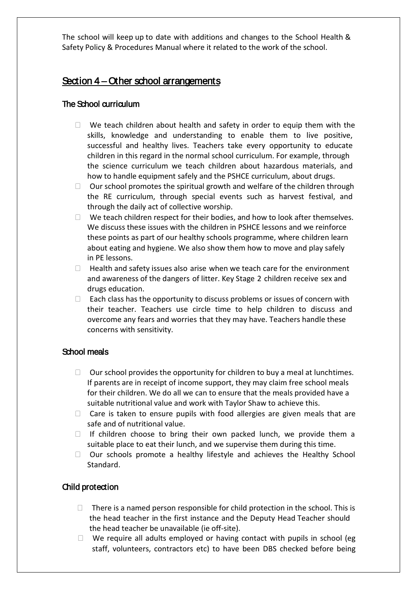The school will keep up to date with additions and changes to the School Health & Safety Policy & Procedures Manual where it related to the work of the school.

# Section 4 – Other school arrangements

## The School curriculum

- $\Box$  We teach children about health and safety in order to equip them with the skills, knowledge and understanding to enable them to live positive, successful and healthy lives. Teachers take every opportunity to educate children in this regard in the normal school curriculum. For example, through the science curriculum we teach children about hazardous materials, and how to handle equipment safely and the PSHCE curriculum, about drugs.
- $\Box$  Our school promotes the spiritual growth and welfare of the children through the RE curriculum, through special events such as harvest festival, and through the daily act of collective worship.
- $\Box$  We teach children respect for their bodies, and how to look after themselves. We discuss these issues with the children in PSHCE lessons and we reinforce these points as part of our healthy schools programme, where children learn about eating and hygiene. We also show them how to move and play safely in PE lessons.
- $\Box$  Health and safety issues also arise when we teach care for the environment and awareness of the dangers of litter. Key Stage 2 children receive sex and drugs education.
- $\Box$  Each class has the opportunity to discuss problems or issues of concern with their teacher. Teachers use circle time to help children to discuss and overcome any fears and worries that they may have. Teachers handle these concerns with sensitivity.

## School meals

- $\Box$  Our school provides the opportunity for children to buy a meal at lunchtimes. If parents are in receipt of income support, they may claim free school meals for their children. We do all we can to ensure that the meals provided have a suitable nutritional value and work with Taylor Shaw to achieve this.
- $\Box$  Care is taken to ensure pupils with food allergies are given meals that are safe and of nutritional value.
- $\Box$  If children choose to bring their own packed lunch, we provide them a suitable place to eat their lunch, and we supervise them during this time.
- $\Box$  Our schools promote a healthy lifestyle and achieves the Healthy School Standard.

## Child protection

- $\Box$  There is a named person responsible for child protection in the school. This is the head teacher in the first instance and the Deputy Head Teacher should the head teacher be unavailable (ie off-site).
- $\Box$  We require all adults employed or having contact with pupils in school (eg staff, volunteers, contractors etc) to have been DBS checked before being